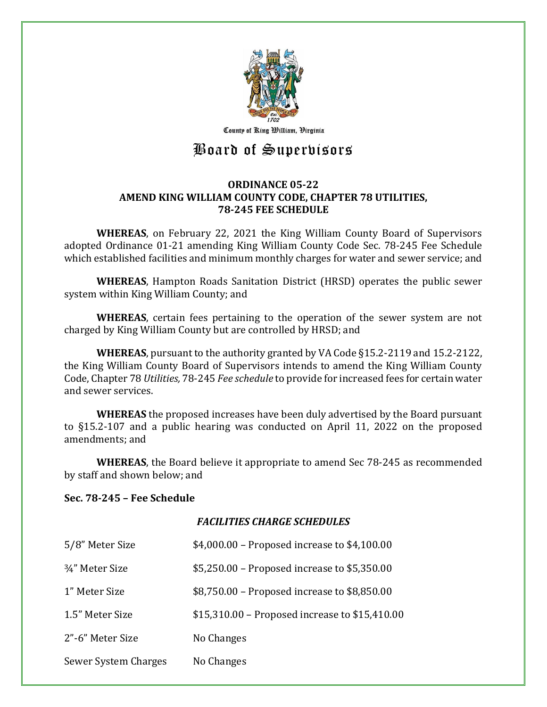

County of Ring William, Virginia

# Board of Supervisors

## **ORDINANCE 05-22 AMEND KING WILLIAM COUNTY CODE, CHAPTER 78 UTILITIES, 78-245 FEE SCHEDULE**

**WHEREAS**, on February 22, 2021 the King William County Board of Supervisors adopted Ordinance 01-21 amending King William County Code Sec. 78-245 Fee Schedule which established facilities and minimum monthly charges for water and sewer service; and

**WHEREAS**, Hampton Roads Sanitation District (HRSD) operates the public sewer system within King William County; and

**WHEREAS**, certain fees pertaining to the operation of the sewer system are not charged by King William County but are controlled by HRSD; and

**WHEREAS**, pursuant to the authority granted by VA Code §15.2-2119 and 15.2-2122, the King William County Board of Supervisors intends to amend the King William County Code, Chapter 78 *Utilities,* 78-245 *Fee schedule* to provide for increased fees for certain water and sewer services.

**WHEREAS** the proposed increases have been duly advertised by the Board pursuant to §15.2-107 and a public hearing was conducted on April 11, 2022 on the proposed amendments; and

**WHEREAS**, the Board believe it appropriate to amend Sec 78-245 as recommended by staff and shown below; and

#### **Sec. 78-245 – Fee Schedule**

#### *FACILITIES CHARGE SCHEDULES*

| 5/8" Meter Size                          | \$4,000.00 - Proposed increase to \$4,100.00   |
|------------------------------------------|------------------------------------------------|
| <sup>3</sup> / <sub>4</sub> " Meter Size | \$5,250.00 – Proposed increase to \$5,350.00   |
| 1" Meter Size                            | \$8,750.00 - Proposed increase to \$8,850.00   |
| 1.5" Meter Size                          | \$15,310.00 – Proposed increase to \$15,410.00 |
| 2"-6" Meter Size                         | No Changes                                     |
| Sewer System Charges                     | No Changes                                     |